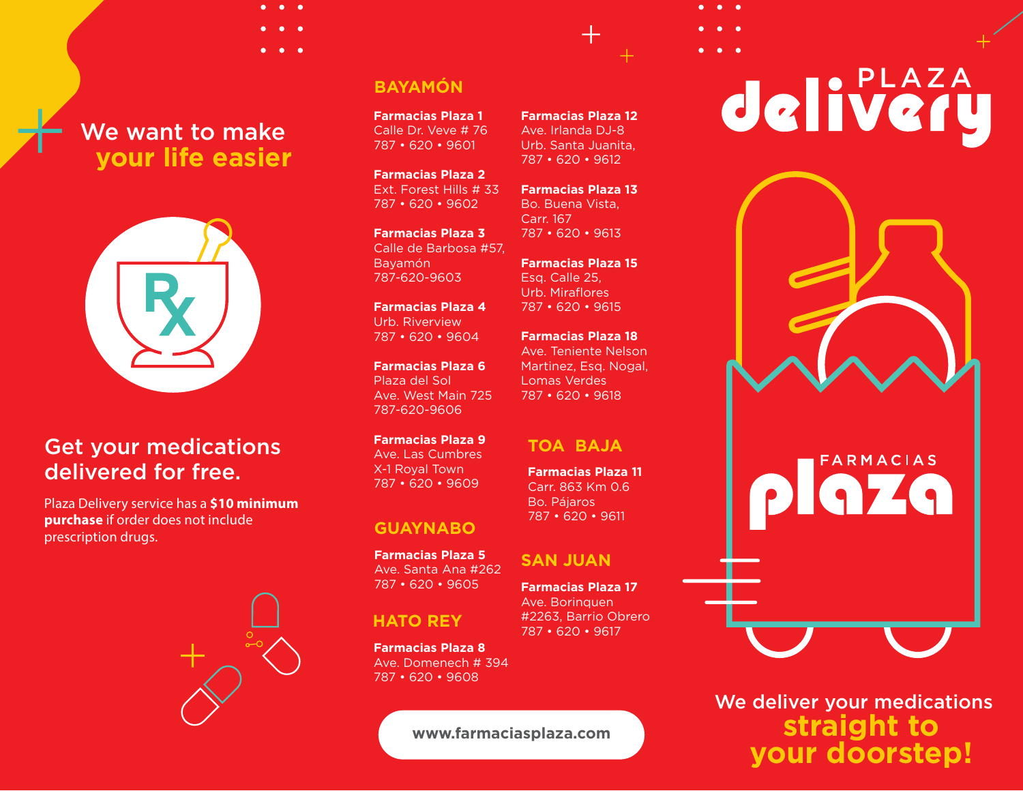## We want to make  **your life easier**



### Get your medications delivered for free.

Plaza Delivery service has a **\$10 minimum purchase** if order does not include prescription drugs.



### **BAYAMÓN**

**Farmacias Plaza 1** Calle Dr. Veve # 76 787 • 620 • 9601

**Farmacias Plaza 2** Ext. Forest Hills # 33 787 • 620 • 9602

**Farmacias Plaza 3** Calle de Barbosa #57, Bayamón 787-620-9603

**Farmacias Plaza 4** Urb. Riverview 787 • 620 • 9604

**Farmacias Plaza 6** Plaza del Sol Ave. West Main 725 787-620-9606

**Farmacias Plaza 9** Ave. Las Cumbres X-1 Royal Town 787 • 620 • 9609

### **GUAYNABO**

**Farmacias Plaza 5** Ave. Santa Ana #262 787 • 620 • 9605

### **HATO REY**

**Farmacias Plaza 8** Ave. Domenech # 394 787 • 620 • 9608

**www.farmaciasplaza.com**

**Farmacias Plaza 12** Ave. Irlanda DJ-8 Urb. Santa Juanita, 787 • 620 • 9612

**Farmacias Plaza 13** Bo. Buena Vista, Carr. 167 787 • 620 • 9613

**Farmacias Plaza 15** Esq. Calle 25, Urb. Miraflores 787 • 620 • 9615

**Farmacias Plaza 18** Ave. Teniente Nelson Martinez, Esq. Nogal, Lomas Verdes 787 • 620 • 9618

### **TOA BAJA**

**Farmacias Plaza 11** Carr. 863 Km 0.6 Bo. Pájaros 787 • 620 • 9611

### **SAN JUAN**

**Farmacias Plaza 17** Ave. Borinquen #2263, Barrio Obrero 787 • 620 • 9617

# delivery



We deliver your medications **straight to your doorstep!**